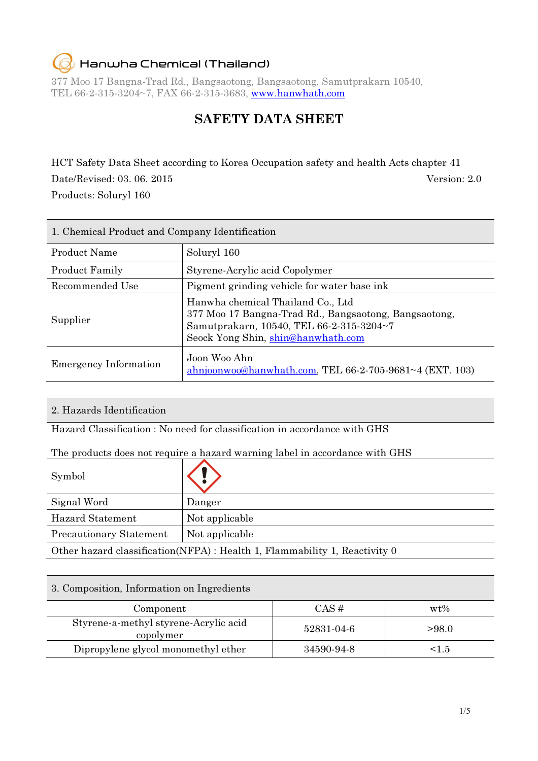### Hanwha Chemical (Thailand)

377 Moo 17 Bangna-Trad Rd., Bangsaotong, Bangsaotong, Samutprakarn 10540, TEL 66-2-315-3204~7, FAX 66-2-315-3683, www.hanwhath.com

### SAFETY DATA SHEET

HCT Safety Data Sheet according to Korea Occupation safety and health Acts chapter 41 Date/Revised: 03. 06. 2015 Version: 2.0 Products: Soluryl 160

| 1. Chemical Product and Company Identification |                                                                                                                                                                              |  |
|------------------------------------------------|------------------------------------------------------------------------------------------------------------------------------------------------------------------------------|--|
| <b>Product Name</b>                            | Soluryl 160                                                                                                                                                                  |  |
| <b>Product Family</b>                          | Styrene-Acrylic acid Copolymer                                                                                                                                               |  |
| Recommended Use                                | Pigment grinding vehicle for water base ink                                                                                                                                  |  |
| Supplier                                       | Hanwha chemical Thailand Co., Ltd<br>377 Moo 17 Bangna-Trad Rd., Bangsaotong, Bangsaotong,<br>Samutprakarn, 10540, TEL 66-2-315-3204~7<br>Seock Yong Shin, shin@hanwhath.com |  |
| <b>Emergency Information</b>                   | Joon Woo Ahn<br>ahnjoonwoo@hanwhath.com, TEL 66-2-705-9681~4 (EXT. 103)                                                                                                      |  |

#### 2. Hazards Identification

Hazard Classification : No need for classification in accordance with GHS

#### The products does not require a hazard warning label in accordance with GHS

| Symbol                                                                      |                |
|-----------------------------------------------------------------------------|----------------|
| Signal Word                                                                 | Danger         |
| <b>Hazard Statement</b>                                                     | Not applicable |
| <b>Precautionary Statement</b>                                              | Not applicable |
| Other hazard classification (NFPA) : Health 1, Flammability 1, Reactivity 0 |                |

#### 3. Composition, Information on Ingredients

| Component                                          | $CAS \#$   | $wt\%$ |
|----------------------------------------------------|------------|--------|
| Styrene-a-methyl styrene-Acrylic acid<br>copolymer | 52831-04-6 | >98.0  |
| Dipropylene glycol monomethyl ether                | 34590-94-8 | <1.5   |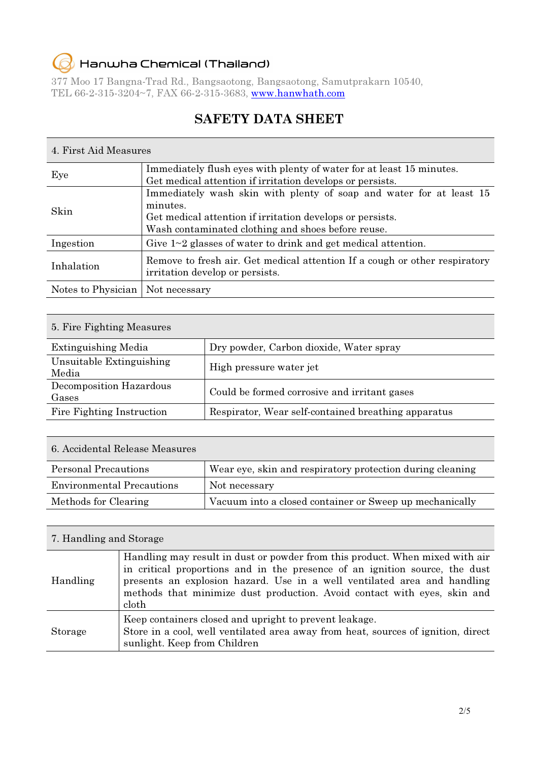#### Hanwha Chemical (Thailand)  $\epsilon$

377 Moo 17 Bangna-Trad Rd., Bangsaotong, Bangsaotong, Samutprakarn 10540, TEL 66-2-315-3204~7, FAX 66-2-315-3683, www.hanwhath.com

### SAFETY DATA SHEET

#### 4. First Aid Measures

| Eye                                | Immediately flush eyes with plenty of water for at least 15 minutes.<br>Get medical attention if irritation develops or persists. |  |
|------------------------------------|-----------------------------------------------------------------------------------------------------------------------------------|--|
|                                    |                                                                                                                                   |  |
|                                    | Immediately wash skin with plenty of soap and water for at least 15                                                               |  |
| Skin                               | minutes.                                                                                                                          |  |
|                                    | Get medical attention if irritation develops or persists.                                                                         |  |
|                                    | Wash contaminated clothing and shoes before reuse.                                                                                |  |
| Ingestion                          | Give $1 \sim 2$ glasses of water to drink and get medical attention.                                                              |  |
| Inhalation                         | Remove to fresh air. Get medical attention If a cough or other respiratory<br>irritation develop or persists.                     |  |
| Notes to Physician   Not necessary |                                                                                                                                   |  |

#### 5. Fire Fighting Measures

| <b>Extinguishing Media</b>        | Dry powder, Carbon dioxide, Water spray             |
|-----------------------------------|-----------------------------------------------------|
| Unsuitable Extinguishing<br>Media | High pressure water jet                             |
| Decomposition Hazardous<br>Gases  | Could be formed corrosive and irritant gases        |
| Fire Fighting Instruction         | Respirator, Wear self-contained breathing apparatus |

| 6. Accidental Release Measures   |                                                           |
|----------------------------------|-----------------------------------------------------------|
| <b>Personal Precautions</b>      | Wear eye, skin and respiratory protection during cleaning |
| <b>Environmental Precautions</b> | Not necessary                                             |
| Methods for Clearing             | Vacuum into a closed container or Sweep up mechanically   |

#### 7. Handling and Storage

| Handling | Handling may result in dust or powder from this product. When mixed with air<br>in critical proportions and in the presence of an ignition source, the dust<br>presents an explosion hazard. Use in a well ventilated area and handling<br>methods that minimize dust production. Avoid contact with eyes, skin and<br>cloth |
|----------|------------------------------------------------------------------------------------------------------------------------------------------------------------------------------------------------------------------------------------------------------------------------------------------------------------------------------|
| Storage  | Keep containers closed and upright to prevent leakage.<br>Store in a cool, well ventilated area away from heat, sources of ignition, direct<br>sunlight. Keep from Children                                                                                                                                                  |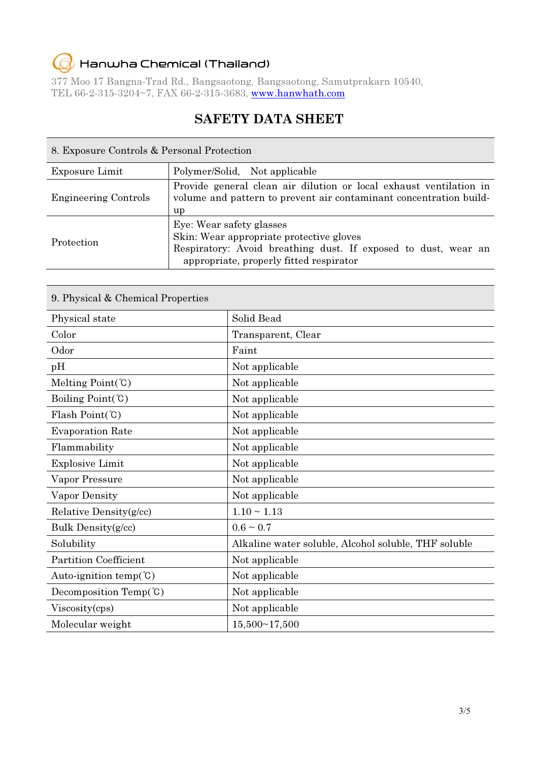## Hanwha Chemical (Thailand)

377 Moo 17 Bangna-Trad Rd., Bangsaotong, Bangsaotong, Samutprakarn 10540, TEL 66-2-315-3204~7, FAX 66-2-315-3683, www.hanwhath.com

### SAFETY DATA SHEET

| 8. Exposure Controls & Personal Protection |                                                                                                                                                                                   |  |
|--------------------------------------------|-----------------------------------------------------------------------------------------------------------------------------------------------------------------------------------|--|
| Exposure Limit                             | Polymer/Solid, Not applicable                                                                                                                                                     |  |
| <b>Engineering Controls</b>                | Provide general clean air dilution or local exhaust ventilation in<br>volume and pattern to prevent air contaminant concentration build-<br>up                                    |  |
| Protection                                 | Eye: Wear safety glasses<br>Skin: Wear appropriate protective gloves<br>Respiratory: Avoid breathing dust. If exposed to dust, wear an<br>appropriate, properly fitted respirator |  |

| 9. Physical & Chemical Properties  |                                                      |
|------------------------------------|------------------------------------------------------|
| Physical state                     | Solid Bead                                           |
| Color                              | Transparent, Clear                                   |
| Odor                               | Faint                                                |
| pH                                 | Not applicable                                       |
| Melting $Point(C)$                 | Not applicable                                       |
| Boiling $Point(C)$                 | Not applicable                                       |
| Flash Point $({\cal C})$           | Not applicable                                       |
| <b>Evaporation Rate</b>            | Not applicable                                       |
| Flammability                       | Not applicable                                       |
| <b>Explosive Limit</b>             | Not applicable                                       |
| Vapor Pressure                     | Not applicable                                       |
| Vapor Density                      | Not applicable                                       |
| Relative Density(g/cc)             | $1.10 \sim 1.13$                                     |
| Bulk Density(g/cc)                 | $0.6 \sim 0.7$                                       |
| Solubility                         | Alkaline water soluble, Alcohol soluble, THF soluble |
| <b>Partition Coefficient</b>       | Not applicable                                       |
| Auto-ignition temp( $^{\circ}$ C)  | Not applicable                                       |
| Decomposition Temp $(\mathcal{C})$ | Not applicable                                       |
| Viscosity(cps)                     | Not applicable                                       |
| Molecular weight                   | 15,500~17,500                                        |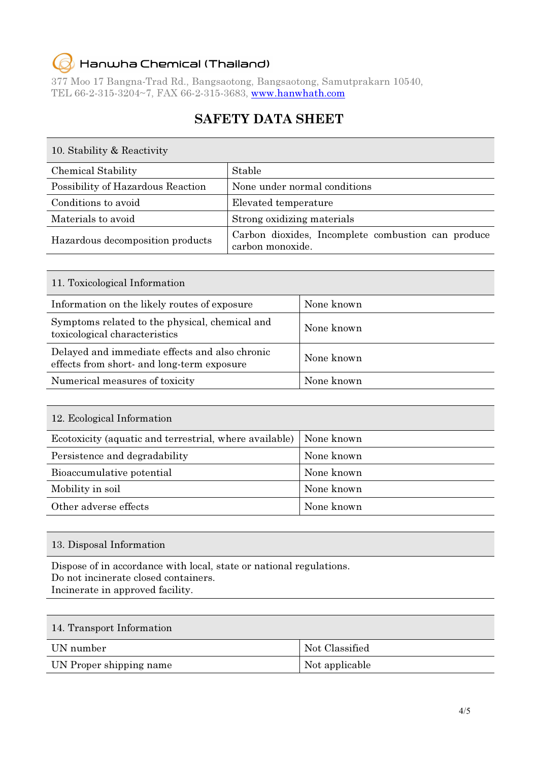#### Hanwha Chemical (Thailand)  $\epsilon$

10.  $\alpha$  1.11,  $\beta$  Reactivity

377 Moo 17 Bangna-Trad Rd., Bangsaotong, Bangsaotong, Samutprakarn 10540, TEL 66-2-315-3204~7, FAX 66-2-315-3683, www.hanwhath.com

### SAFETY DATA SHEET

| IV. Stability & Reactivity        |                                                                        |
|-----------------------------------|------------------------------------------------------------------------|
| <b>Chemical Stability</b>         | Stable                                                                 |
| Possibility of Hazardous Reaction | None under normal conditions                                           |
| Conditions to avoid               | Elevated temperature                                                   |
| Materials to avoid                | Strong oxidizing materials                                             |
| Hazardous decomposition products  | Carbon dioxides, Incomplete combustion can produce<br>carbon monoxide. |

| 11. Toxicological Information                                                                |            |
|----------------------------------------------------------------------------------------------|------------|
| Information on the likely routes of exposure                                                 | None known |
| Symptoms related to the physical, chemical and<br>toxicological characteristics              | None known |
| Delayed and immediate effects and also chronic<br>effects from short- and long-term exposure | None known |
| Numerical measures of toxicity                                                               | None known |

| 12. Ecological Information                             |            |  |
|--------------------------------------------------------|------------|--|
| Ecotoxicity (aquatic and terrestrial, where available) | None known |  |
| Persistence and degradability                          | None known |  |
| Bioaccumulative potential                              | None known |  |
| Mobility in soil                                       | None known |  |
| Other adverse effects                                  | None known |  |

13. Disposal Information

Dispose of in accordance with local, state or national regulations. Do not incinerate closed containers. Incinerate in approved facility.

### 14. Transport Information

| UN number               | Not Classified |
|-------------------------|----------------|
| UN Proper shipping name | Not applicable |